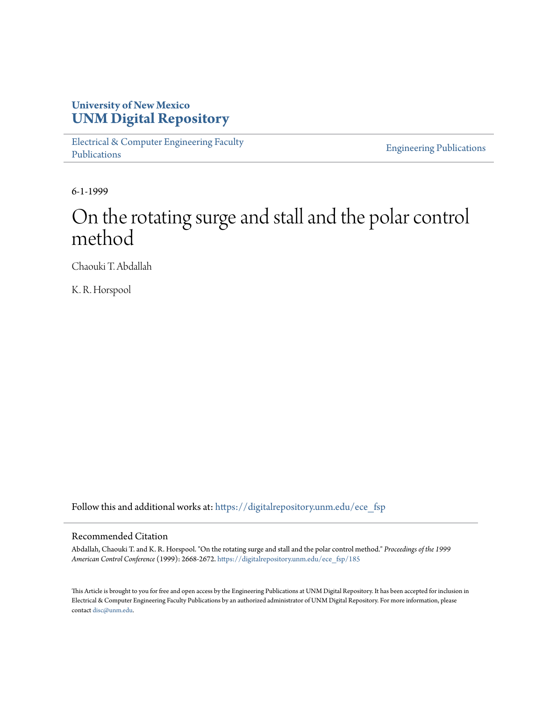# **University of New Mexico [UNM Digital Repository](https://digitalrepository.unm.edu?utm_source=digitalrepository.unm.edu%2Fece_fsp%2F185&utm_medium=PDF&utm_campaign=PDFCoverPages)**

[Electrical & Computer Engineering Faculty](https://digitalrepository.unm.edu/ece_fsp?utm_source=digitalrepository.unm.edu%2Fece_fsp%2F185&utm_medium=PDF&utm_campaign=PDFCoverPages) [Publications](https://digitalrepository.unm.edu/ece_fsp?utm_source=digitalrepository.unm.edu%2Fece_fsp%2F185&utm_medium=PDF&utm_campaign=PDFCoverPages)

[Engineering Publications](https://digitalrepository.unm.edu/eng_fsp?utm_source=digitalrepository.unm.edu%2Fece_fsp%2F185&utm_medium=PDF&utm_campaign=PDFCoverPages)

6-1-1999

# On the rotating surge and stall and the polar control method

Chaouki T. Abdallah

K. R. Horspool

Follow this and additional works at: [https://digitalrepository.unm.edu/ece\\_fsp](https://digitalrepository.unm.edu/ece_fsp?utm_source=digitalrepository.unm.edu%2Fece_fsp%2F185&utm_medium=PDF&utm_campaign=PDFCoverPages)

## Recommended Citation

Abdallah, Chaouki T. and K. R. Horspool. "On the rotating surge and stall and the polar control method." *Proceedings of the 1999 American Control Conference* (1999): 2668-2672. [https://digitalrepository.unm.edu/ece\\_fsp/185](https://digitalrepository.unm.edu/ece_fsp/185?utm_source=digitalrepository.unm.edu%2Fece_fsp%2F185&utm_medium=PDF&utm_campaign=PDFCoverPages)

This Article is brought to you for free and open access by the Engineering Publications at UNM Digital Repository. It has been accepted for inclusion in Electrical & Computer Engineering Faculty Publications by an authorized administrator of UNM Digital Repository. For more information, please contact [disc@unm.edu.](mailto:disc@unm.edu)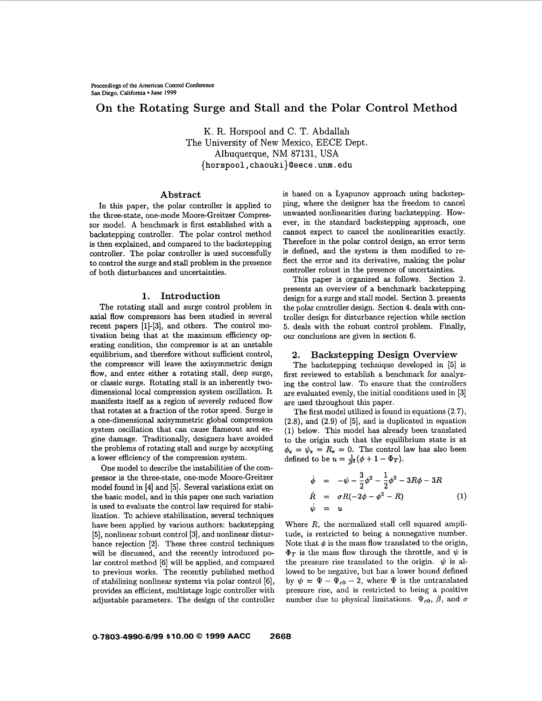# **On the Rotating Surge and Stall and the Polar Control Method**

K. R. Horspool and C. T. Abdallah The University of New Mexico, EECE Dept. Albuquerque, NM 87131, USA **{horspool, chaouki}@eece .urn. edu** 

### **Abstract**

In this paper, the polar controller is applied to the three-state, one-mode Moore-Greitzer Compressor model. **A** benchmark is first established with a backstepping controller. The polar control method is then explained, and compared to the backstepping controller. The polar controller is used successfully to control the surge and stall problem in the presence of both disturbances and uncertainties.

#### **1. Introduction**

The rotating stall and surge control problem in axial flow compressors has been studied in several recent papers **[1]-[3],** and others. The control motivation being that at the maximum efficiency operating condition, the compressor is at an unstable equilibrium, and therefore without sufficient control, the compressor will leave the axisymmetric design flow, and enter either a rotating stall, deep surge, or classic surge. Rotating stall is an inherently twodimensional local compression system oscillation. It manifests itself as a region of severely reduced flow that rotates at a fraction of the rotor speed. Surge is a one-dimensional axisymmetric global compression system oscillation that can cause flameout and engine damage. Traditionally, designers have avoided the problems of rotating stall and surge by accepting a lower efficiency of the compression system.

One model to describe the instabilities of the compressor is the three-state, one-mode Moore-Greitzer model found in [4] and [5]. Several variations exist on the basic model, and in this paper one such variation is used to evaluate the control law required for stabilization. To achieve stabilization, several techniques have been applied by various authors: backstepping [5], nonlinear robust control **[3],** and nonlinear disturbance rejection [2]. These three control techniques will be discussed, and the recently introduced polar control method [6] will be applied, and compared to previous works. The recently published method of stabilizing nonlinear systems via polar control *[6],*  provides an efficient, multistage logic controller with adjustable parameters. The design of the controller is based on a Lyapunov approach using backstepping, where the designer has the freedom to cancel unwanted nonlinearities during backstepping. However, in the standard backstepping approach, one cannot expect to cancel the nonlinearities exactly. Therefore in the polar control design, an error term is defined, and the system is then modified to **re**flect the error and its derivative, making the polar controller robust in the presence of uncertainties.

This paper is organized as follows. Section 2. presents an overview of a benchmark backstepping design for a surge and stall model. Section **3.** presents the polar controller design. Section **4.** deals with controller design for disturbance rejection while section 5. deals with the robust control problem. Finally, our conclusions are given in section 6.

#### **2. Backstepping Design Overview**

The backstepping technique developed in [5] is first reviewed to establish a benchmark for analyzing the control law. To ensure that the controllers are evaluated evenly, the initial conditions used in *[3]*  are used throughout this paper.

The first model utilized is found in equations (2.7), (2.8), and (2.9) of [5], and is duplicated in equation **(1)** below. This model has already been translated to the origin such that the equilibrium state is at  $\psi_e = R_e = 0$ . The control law has also been defined to be  $u = \frac{1}{\beta^2}(\phi + 1 - \Phi_T)$ .

$$
\dot{\phi} = -\psi - \frac{3}{2}\phi^2 - \frac{1}{2}\phi^3 - 3R\phi - 3R
$$
\n
$$
\dot{R} = \sigma R(-2\phi - \phi^2 - R) \tag{1}
$$
\n
$$
\dot{\psi} = u \tag{2}
$$

Where *R,* the normalized stall cell squared amplitude, is restricted to being a nonnegative number. Note that  $\phi$  is the mass flow translated to the origin,  $\Phi_T$  is the mass flow through the throttle, and  $\psi$  is the pressure rise translated to the origin.  $\psi$  is allowed to be negative, but has a lower bound defined by  $\psi = \Psi - \Psi_{c0} - 2$ , where  $\Psi$  is the untranslated pressure rise, and is restricted to being a positive number due to physical limitations.  $\Psi_{c0}$ ,  $\beta$ , and  $\sigma$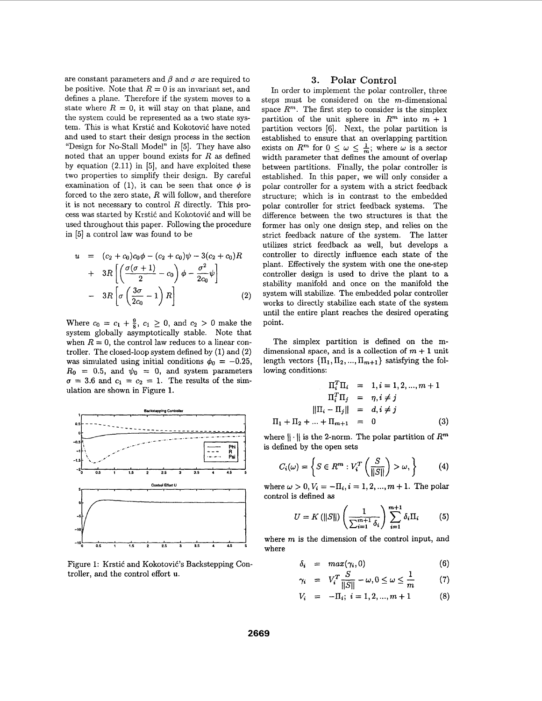are constant parameters and  $\beta$  and  $\sigma$  are required to be positive. Note that  $R = 0$  is an invariant set, and defines a plane. Therefore if the system moves to a state where  $R = 0$ , it will stay on that plane, and the system could be represented as a two state system. This is what Krstić and Kokotović have noted and used to start their design process in the section "Design for No-Stall Model" in *[5].* They have also noted that an upper bound exists for *R* as defined by equation  $(2.11)$  in [5], and have exploited these two properties to simplify their design. By careful examination of (1), it can be seen that once  $\phi$  is forced to the zero state, *R* will follow, and therefore it is not necessary to control *R* directly. This process was started by Krstić and Kokotović and will be used throughout this paper. Following the procedure in *[5]* a control law was found to be

$$
u = (c_2 + c_0)c_0\phi - (c_2 + c_0)\psi - 3(c_2 + c_0)R
$$
  
+ 
$$
3R\left[\left(\frac{\sigma(\sigma + 1)}{2} - c_0\right)\phi - \frac{\sigma^2}{2c_0}\psi\right]
$$
  
- 
$$
3R\left[\sigma\left(\frac{3\sigma}{2c_0} - 1\right)R\right]
$$
 (2)

Where  $c_0 = c_1 + \frac{9}{8}$ ,  $c_1 \geq 0$ , and  $c_2 > 0$  make the system globally asymptotically stable. Note that when  $R = 0$ , the control law reduces to a linear controller. The closed-loop system defined by (1) and **(2)**  was simulated using initial conditions  $\phi_0 = -0.25$ ,  $R_0 = 0.5$ , and  $\psi_0 = 0$ , and system parameters  $\sigma = 3.6$  and  $c_1 = c_2 = 1$ . The results of the simulation are shown in [Figure 1.](#page-3-0)



Figure 1: Krstić and Kokotović's Backstepping Controller, and the control effort **U.** 

#### **3. Polar Control**

In order to implement the polar controller, three steps must be considered on the m-dimensional space  $R^m$ . The first step to consider is the simplex partition of the unit sphere in  $R^m$  into  $m + 1$ partition vectors [SI. Next, the polar partition is established to ensure that an overlapping partition exists on  $R^m$  for  $0 \leq \omega \leq \frac{1}{m}$ ; where  $\omega$  is a sector width parameter that defines the amount of overlap between partitions. Finally, the polar controller is established. In this paper, we will only consider a polar controller for a system with a strict feedback structure; which is in contrast to the embedded polar controller for strict feedback systems. The difference between the two structures is that the former has only one design step, and relies on the strict feedback nature of the system. The latter utilizes strict feedback as well, but develops a controller to directly influence each state of the plant. Effectively the system with one the one-step controller design is used to drive the plant to a stability manifold and once on the manifold the system will stabilize. The embedded polar controller works to directly stabilize each state of the system until the entire plant reaches the desired operating point.

The simplex partition is defined on the mdimensional space, and is a collection of  $m + 1$  unit length vectors  $\{\Pi_1, \Pi_2, ..., \Pi_{m+1}\}$  satisfying the following conditions:

$$
\Pi_i^T \Pi_i = 1, i = 1, 2, ..., m + 1
$$
  
\n
$$
\Pi_i^T \Pi_j = \eta, i \neq j
$$
  
\n
$$
||\Pi_i - \Pi_j|| = d, i \neq j
$$
  
\n
$$
\Pi_1 + \Pi_2 + ... + \Pi_{m+1} = 0
$$
\n(3)

where  $\|\cdot\|$  is the 2-norm. The polar partition of  $R^m$ is defined by the open sets

$$
C_i(\omega) = \left\{ S \in R^m : V_i^T \left( \frac{S}{\|S\|} \right) > \omega, \right\} \tag{4}
$$

where  $\omega > 0, V_i = -\Pi_i, i = 1, 2, ..., m + 1$ . The polar control is defined **as** 

$$
U = K(||S||) \left(\frac{1}{\sum_{i=1}^{m+1} \delta_i}\right) \sum_{i=1}^{m+1} \delta_i \Pi_i \tag{5}
$$

where *m* is the dimension of the control input, and where

$$
\delta_i = \max(\gamma_i, 0) \tag{6}
$$

$$
\gamma_i = V_i^T \frac{S}{\|S\|} - \omega, 0 \le \omega \le \frac{1}{m} \tag{7}
$$

$$
V_i = -\Pi_i; \ i = 1, 2, ..., m + 1 \qquad (8)
$$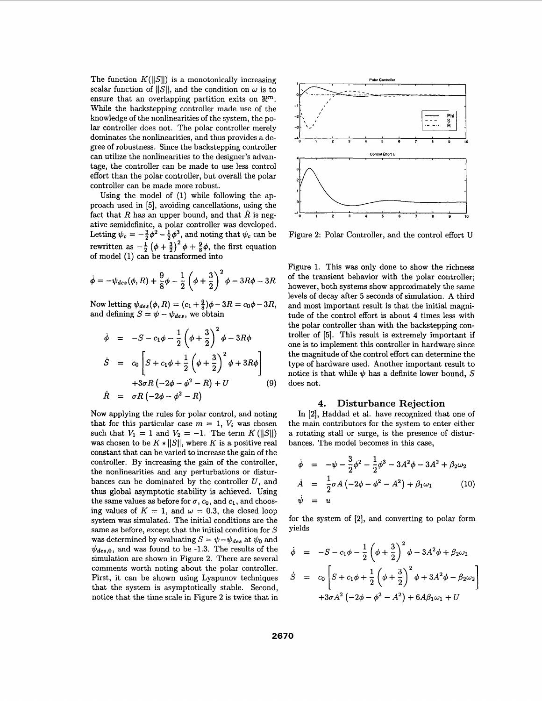<span id="page-3-0"></span>The function  $K(||S||)$  is a monotonically increasing scalar function of  $||S||$ , and the condition on  $\omega$  is to ensure that an overlapping partition exits on  $\mathbb{R}^m$ . While the backstepping controller made use of the knowledge of the nonlinearities of the system, the polar controller does not. The polar controller merely dominates the nonlinearities, and thus provides a degree of robustness. Since the backstepping controller can utilize the nonlinearities to the designer's advantage, the controller can be made to use less control effort than the polar controller, but overall the polar controller can be made more robust.

Using the model of (1) while following the approach used in [5], avoiding cancellations, using the fact that  $R$  has an upper bound, and that  $R$  is negative semidefinite, a polar controller was developed. Letting  $\psi_c = -\frac{3}{2}\phi^2 - \frac{1}{2}\phi^3$ , and noting that  $\psi_c$  can be rewritten as  $-\frac{1}{2}(\phi + \frac{3}{2})^2 \phi + \frac{9}{8}\phi$ , the first equation of model (1) can be transformed into

$$
\dot{\phi} = -\psi_{des}(\phi, R) + \frac{9}{8}\phi - \frac{1}{2}\left(\phi + \frac{3}{2}\right)^2\phi - 3R\phi - 3R
$$

Now letting  $\psi_{des}(\phi, R) = (c_1 + \frac{9}{8})\phi - 3R = c_0\phi - 3R,$ and defining  $S = \psi - \psi_{des}$ , we obtain

$$
\dot{\phi} = -S - c_1 \phi - \frac{1}{2} \left( \phi + \frac{3}{2} \right)^2 \phi - 3R\phi
$$
\n
$$
\dot{S} = c_0 \left[ S + c_1 \phi + \frac{1}{2} \left( \phi + \frac{3}{2} \right)^2 \phi + 3R\phi \right]
$$
\n
$$
+ 3\sigma R \left( -2\phi - \phi^2 - R \right) + U \qquad (9)
$$
\n
$$
\dot{R} = \sigma R \left( -2\phi - \phi^2 - R \right)
$$

Now applying the rules for polar control, and noting that for this particular case  $m = 1$ ,  $V_i$  was chosen such that  $V_1 = 1$  and  $V_2 = -1$ . The term  $K(||S||)$ was chosen to be  $K * ||S||$ , where *K* is a positive real constant that can be varied to increase the gain of the controller. By increasing the gain of the controller, the nonlinearities and any perturbations or disturbances can be dominated by the controller  $U$ , and thus global asymptotic stability is achieved. Using the same values as before for  $\sigma$ ,  $c_0$ , and  $c_1$ , and choosing values of  $K = 1$ , and  $\omega = 0.3$ , the closed loop system was simulated. The initial conditions are the same **as** before, except that the initial condition for S was determined by evaluating  $S = \psi - \psi_{des}$  at  $\psi_0$  and  $\psi_{des,0}$ , and was found to be -1.3. The results of the simulation are shown in Figure 2. There are several comments worth noting about the polar controller. First, it can be shown using Lyapunov techniques that the system is asymptotically stable. Second, notice that the time scale in Figure 2 is twice that in



Figure **2:** Polar Controller, and the control effort U

Figure 1. This was only done to show the richness of the transient behavior with the polar controller; however, both systems show approximately the same levels of decay after **5** seconds of simulation. A third and most important result is that the initial magnitude of the control effort is about **4** times less with the polar controller than with the backstepping controller of [5]. This result is extremely important if one **is** to implement this controller in hardware since the magnitude of the control effort can determine the type of hardware used. Another important result to notice is that while  $\psi$  has a definite lower bound, S does not.

#### **4. Disturbance Rejection**

In [2], Haddad et al. have recognized that one of the main contributors for the system to enter either a rotating stall or surge, is the presence of disturbances. The model becomes in this case,

$$
\dot{\phi} = -\psi - \frac{3}{2}\phi^2 - \frac{1}{2}\phi^3 - 3A^2\phi - 3A^2 + \beta_2\omega_2
$$
  
\n
$$
\dot{A} = \frac{1}{2}\sigma A (-2\phi - \phi^2 - A^2) + \beta_1\omega_1 \qquad (10)
$$
  
\n
$$
\dot{\psi} = u
$$

for the system of [2], and converting to polar form yields

$$
\dot{\phi} = -S - c_1 \phi - \frac{1}{2} \left( \phi + \frac{3}{2} \right)^2 \phi - 3A^2 \phi + \beta_2 \omega_2
$$
  

$$
\dot{S} = c_0 \left[ S + c_1 \phi + \frac{1}{2} \left( \phi + \frac{3}{2} \right)^2 \phi + 3A^2 \phi - \beta_2 \omega_2 \right]
$$

$$
+ 3\sigma A^2 \left( -2\phi - \phi^2 - A^2 \right) + 6A\beta_1 \omega_1 + U
$$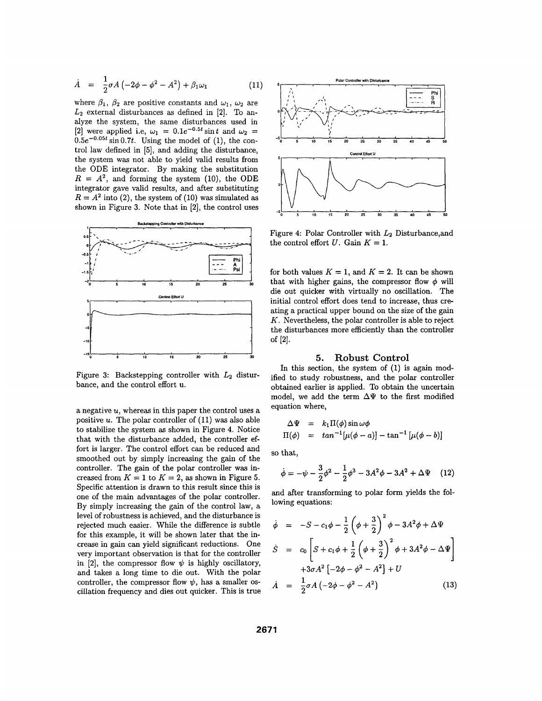$$
\dot{A} = \frac{1}{2}\sigma A (-2\phi - \phi^2 - A^2) + \beta_1 \omega_1 \tag{11}
$$

where  $\beta_1$ ,  $\beta_2$  are positive constants and  $\omega_1$ ,  $\omega_2$  are *L2* external disturbances **as** defined in **[2].** To analyze the system, the same disturbances used in [2] were applied i.e,  $\omega_1 = 0.1e^{-0.5t} \sin t$  and  $\omega_2 =$  $0.5e^{-0.05t}\sin 0.7t$ . Using the model of (1), the control law defined in [5], and adding the disturbance, the system was not able to yield valid results from the ODE integrator. By making the substitution  $R = A^2$ , and forming the system (10), the ODE integrator gave valid results, and after substituting  $R = A^2$  into (2), the system of (10) was simulated as shown in Figure **3.** Note that in **[2],** the control uses



Figure **3:** Backstepping controller with *L2* disturbance, and the control effort **U.** 

a negative *U,* whereas in this paper the control uses a positive *U.* The polar controller of (11) was also able to stabilize the system **as** shown in Figure **4.** Notice that with the disturbance added, the controller effort is larger. The control effort can be reduced and smoothed out by simply increasing the gain of the controller. The gain of the polar controller was increased from  $K = 1$  to  $K = 2$ , as shown in Figure 5. Specific attention is drawn to this result since this is one of the main advantages of the polar controller. By simply increasing the gain of the control law, a level of robustness is achieved, and the disturbance is rejected much easier. While the difference is subtle for this example, it will be shown later that the increase in gain can yield significant reductions. One very important observation is that for the controller in [2], the compressor flow  $\psi$  is highly oscillatory, and takes a long time to die out. With the polar controller, the compressor flow  $\psi$ , has a smaller oscillation frequency and dies out quicker. This is true



Figure **4:** Polar Controller with *L2* Disturbance,and the control effort *U*. Gain  $K = 1$ .

for both values  $K = 1$ , and  $K = 2$ . It can be shown that with higher gains, the compressor flow  $\phi$  will die out quicker with virtually no oscillation. The initial control effort does tend to increase, thus creating a practical upper bound on the size of the gain *K.* Nevertheless, the polar controller is able to reject the disturbances more efficiently than the controller of **[2].** 

#### *5.* **Robust Control**

In this section, the system of (1) is again modified to study robustness, and the polar controller obtained earlier is applied. To obtain the uncertain model, we add the term  $\Delta\Psi$  to the first modified equation where,

$$
\Delta \Psi = k_1 \Pi(\phi) \sin \omega \phi \n\Pi(\phi) = \tan^{-1} [\mu(\phi - a)] - \tan^{-1} [\mu(\phi - b)]
$$

so that,

$$
\dot{\phi} = -\psi - \frac{3}{2}\phi^2 - \frac{1}{2}\phi^3 - 3A^2\phi - 3A^2 + \Delta\Psi \quad (12)
$$

and after transforming to polar form yields the following equations:

$$
\dot{\phi} = -S - c_1 \phi - \frac{1}{2} \left( \phi + \frac{3}{2} \right)^2 \phi - 3A^2 \phi + \Delta \Psi
$$
\n
$$
\dot{S} = c_0 \left[ S + c_1 \phi + \frac{1}{2} \left( \phi + \frac{3}{2} \right)^2 \phi + 3A^2 \phi - \Delta \Psi \right]
$$
\n
$$
+ 3\sigma A^2 \left[ -2\phi - \phi^2 - A^2 \right] + U
$$
\n
$$
\dot{A} = \frac{1}{2} \sigma A \left( -2\phi - \phi^2 - A^2 \right) \tag{13}
$$